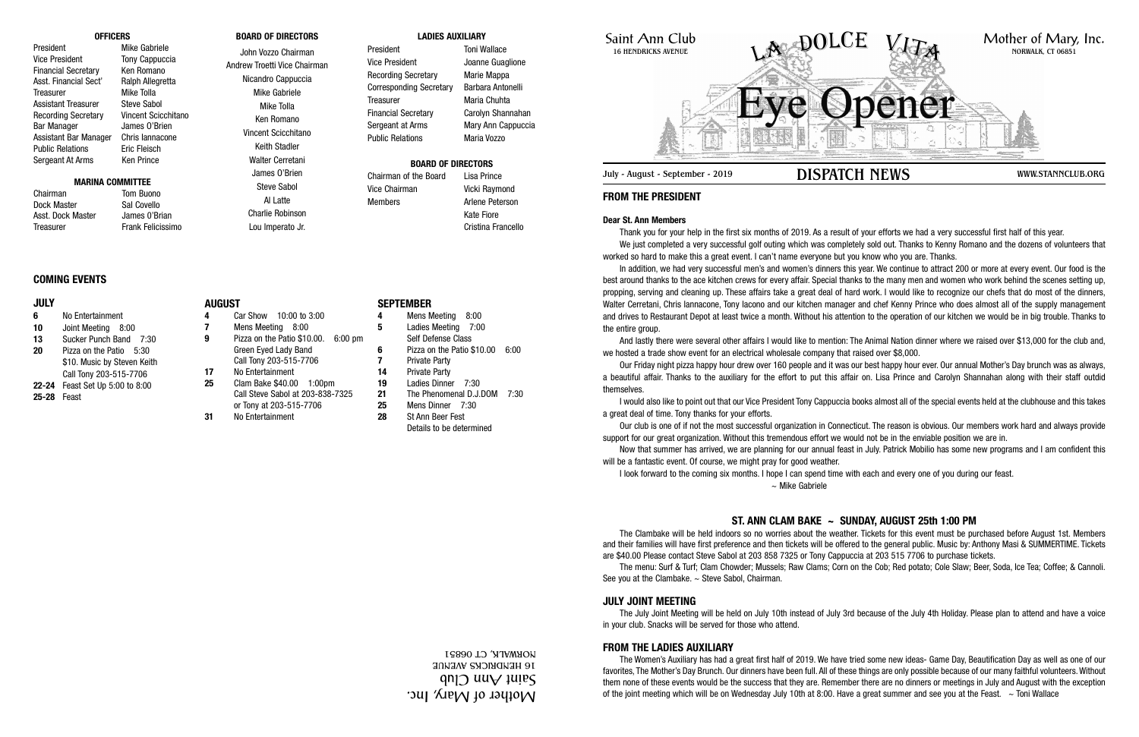Saint Ann Club 16 HENDRICKS AVENUE

## **FROM THE PRESIDENT**

#### **Dear St. Ann Members**

In addition, we had very successful men's and women's dinners this year. We continue to attract 200 or more at every event. Our food is the best around thanks to the ace kitchen crews for every affair. Special thanks to the many men and women who work behind the scenes setting up, propping, serving and cleaning up. These affairs take a great deal of hard work. I would like to recognize our chefs that do most of the dinners, Walter Cerretani, Chris lannacone, Tony lacono and our kitchen manager and chef Kenny Prince who does almost all of the supply management and drives to Restaurant Depot at least twice a month. Without his attention to the operation of our kitchen we would be in big trouble. Thanks to the entire group.

Thank you for your help in the first six months of 2019. As a result of your efforts we had a very successful first half of this year. We just completed a very successful golf outing which was completely sold out. Thanks to Kenny Romano and the dozens of volunteers that worked so hard to make this a great event. I can't name everyone but you know who you are. Thanks.

The Clambake will be held indoors so no worries about the weather. Tickets for this event must be purchased before August 1st. Members and their families will have first preference and then tickets will be offered to the general public. Music by: Anthony Masi & SUMMERTIME. Tickets are \$40.00 Please contact Steve Sabol at 203 858 7325 or Tony Cappuccia at 203 515 7706 to purchase tickets. The menu: Surf & Turf; Clam Chowder; Mussels; Raw Clams; Corn on the Cob; Red potato; Cole Slaw; Beer, Soda, Ice Tea; Coffee; & Cannoli. See you at the Clambake.  $\sim$  Steve Sabol, Chairman.

And lastly there were several other affairs I would like to mention: The Animal Nation dinner where we raised over \$13,000 for the club and, we hosted a trade show event for an electrical wholesale company that raised over \$8,000.

Our Friday night pizza happy hour drew over 160 people and it was our best happy hour ever. Our annual Mother's Day brunch was as always, a beautiful affair. Thanks to the auxiliary for the effort to put this affair on. Lisa Prince and Carolyn Shannahan along with their staff outdid themselves.

The Women's Auxiliary has had a great first half of 2019. We have tried some new ideas- Game Day, Beautification Day as well as one of our favorites, The Mother's Day Brunch. Our dinners have been full. All of these things are only possible because of our many faithful volunteers. Without them none of these events would be the success that they are. Remember there are no dinners or meetings in July and August with the exception of the joint meeting which will be on Wednesday July 10th at 8:00. Have a great summer and see you at the Feast.  $\sim$  Toni Wallace

I would also like to point out that our Vice President Tony Cappuccia books almost all of the special events held at the clubhouse and this takes a great deal of time. Tony thanks for your efforts.

Our club is one of if not the most successful organization in Connecticut. The reason is obvious. Our members work hard and always provide support for our great organization. Without this tremendous effort we would not be in the enviable position we are in.

Chairman Tom Buono Dock Master Sal Covello Asst. Dock Master James 0'Brian Treasurer Frank Felicissimo

> Now that summer has arrived, we are planning for our annual feast in July. Patrick Mobilio has some new programs and I am confident this will be a fantastic event. Of course, we might pray for good weather. I look forward to the coming six months. I hope I can spend time with each and every one of you during our feast. ~ Mike Gabriele

# **ST. ANN CLAM BAKE ~ SUNDAY, AUGUST 25th 1:00 PM**



### **JULY JOINT MEETING**

The July Joint Meeting will be held on July 10th instead of July 3rd because of the July 4th Holiday. Please plan to attend and have a voice in your club. Snacks will be served for those who attend.

### **FROM THE LADIES AUXILIARY**

#### **OFFICERS**

President Mike Gabriele Vice President Tony Cappuccia Financial Secretary Ken Romano Asst. Financial Sect' Ralph Allegretta Treasurer Mike Tolla Assistant Treasurer Steve Sabol Recording Secretary Vincent Scicchitano Bar Manager James O'Brien Assistant Bar Manager Chris Iannacone Public Relations **Eric Fleisch** Sergeant At Arms Ken Prince

#### **MARINA COMMITTEE**

#### **BOARD OF DIRECTORS**

John Vozzo Chairman Andrew Troetti Vice Chairman Nicandro Cappuccia Mike Gabriele Mike Tolla Ken Romano Vincent Scicchitano Keith Stadler Walter Cerretani James O'Brien Steve Sabol

Al Latte

Charlie Robinson Lou Imperato Jr.

#### **LADIES AUXILIARY**

President Toni Wallace Vice President Joanne Guaglione Recording Secretary Marie Mappa Corresponding Secretary Barbara Antonelli Treasurer Maria Chuhta Financial Secretary Carolyn Shannahan Sergeant at Arms Mary Ann Cappuccia Public Relations Maria Vozzo

### **BOARD OF DIRECTORS**

Chairman of the Board Lisa Prince Vice Chairman Vicki Raymond Members **Arlene** Peterson Kate Fiore Cristina Francello

#### **COMING EVENTS**

#### **JULY**

- **6** No Entertainment **10** Joint Meeting 8:00 **13** Sucker Punch Band 7:30 **20** Pizza on the Patio 5:30
- \$10. Music by Steven Keith Call Tony 203-515-7706
- **22-24** Feast Set Up 5:00 to 8:00
- **25-28** Feast

**AUGUST**

**4** Car Show 10:00 to 3:00

**7** Mens Meeting 8:00

**9** Pizza on the Patio \$10.00. 6:00 pm Green Eyed Lady Band

Call Tony 203-515-7706 **17** No Entertainment **25** Clam Bake \$40.00 1:00pm Call Steve Sabol at 203-838-7325 or Tony at 203-515-7706 **31** No Entertainment

### **SEPTEMBER**

- **4** Mens Meeting 8:00
- **5** Ladies Meeting 7:00
	- Self Defense Class
- **6** Pizza on the Patio \$10.00 6:00
- **7** Private Party **14** Private Party
- **19** Ladies Dinner 7:30
- **21** The Phenomenal D.J.DOM 7:30
- **25** Mens Dinner 7:30
- **28** St Ann Beer Fest
	- Details to be determined

Mother of Mary, Inc.  $\mathfrak{q}$ n $\mathfrak{q}$  uu $\mathfrak{q}$   $\mathfrak{q}$ uu $\mathfrak{q}$ 16 HENDRICKS AVENUE NORWALK, CT 06851